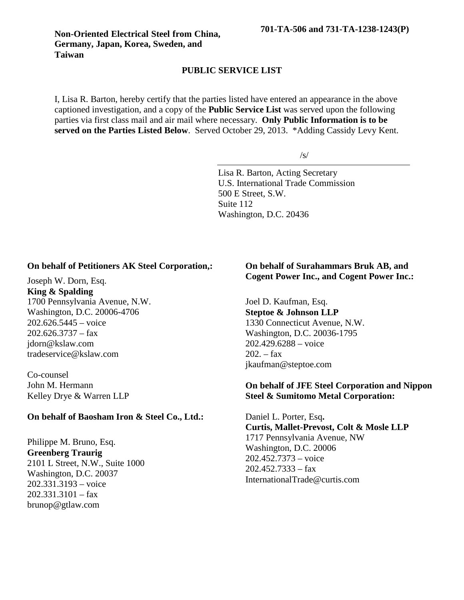I, Lisa R. Barton, hereby certify that the parties listed have entered an appearance in the above captioned investigation, and a copy of the **Public Service List** was served upon the following parties via first class mail and air mail where necessary. **Only Public Information is to be served on the Parties Listed Below**. Served October 29, 2013. \*Adding Cassidy Levy Kent.

/s/

Lisa R. Barton, Acting Secretary U.S. International Trade Commission 500 E Street, S.W. Suite 112 Washington, D.C. 20436

## **On behalf of Petitioners AK Steel Corporation,:**

Joseph W. Dorn, Esq. **King & Spalding** 1700 Pennsylvania Avenue, N.W. Washington, D.C. 20006-4706 202.626.5445 – voice  $202.626.3737 - fax$ jdorn@kslaw.com tradeservice@kslaw.com

Co-counsel John M. Hermann Kelley Drye & Warren LLP

## **On behalf of Baosham Iron & Steel Co., Ltd.:**

Philippe M. Bruno, Esq. **Greenberg Traurig** 2101 L Street, N.W., Suite 1000 Washington, D.C. 20037 202.331.3193 – voice  $202.331.3101 - fax$ brunop@gtlaw.com

## **On behalf of Surahammars Bruk AB, and Cogent Power Inc., and Cogent Power Inc.:**

Joel D. Kaufman, Esq. **Steptoe & Johnson LLP** 1330 Connecticut Avenue, N.W. Washington, D.C. 20036-1795 202.429.6288 – voice  $202. -$  fax jkaufman@steptoe.com

## **On behalf of JFE Steel Corporation and Nippon Steel & Sumitomo Metal Corporation:**

Daniel L. Porter, Esq**. Curtis, Mallet-Prevost, Colt & Mosle LLP** 1717 Pennsylvania Avenue, NW Washington, D.C. 20006 202.452.7373 – voice  $202.452.7333 - fax$ InternationalTrade@curtis.com